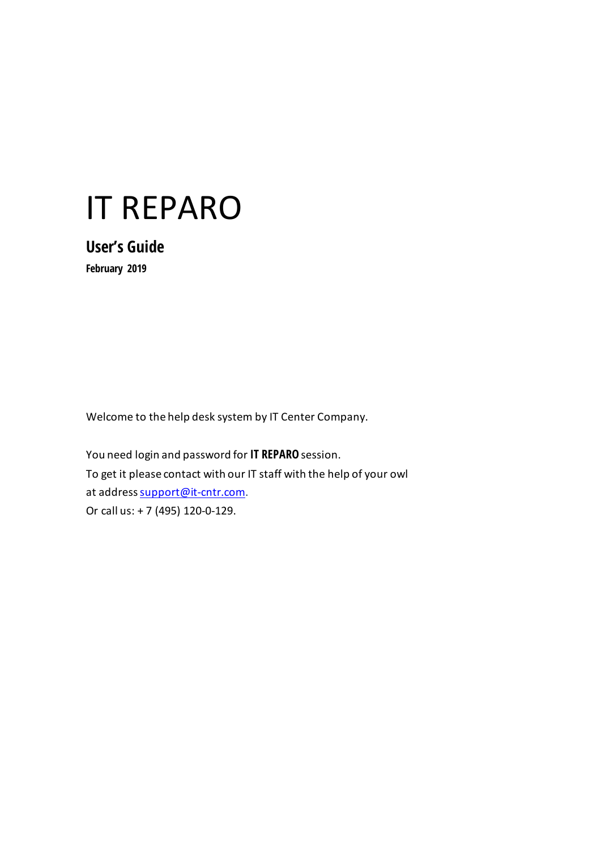# IT REPARO

**User's Guide February 2019**

Welcome to the help desk system by IT Center Company.

You need login and password for **IT REPARO** session. To get it please contact with our IT staff with the help of your owl at addres[s support@it-cntr.com](mailto:support@it-cntr.com). Or call us: + 7 (495) 120-0-129.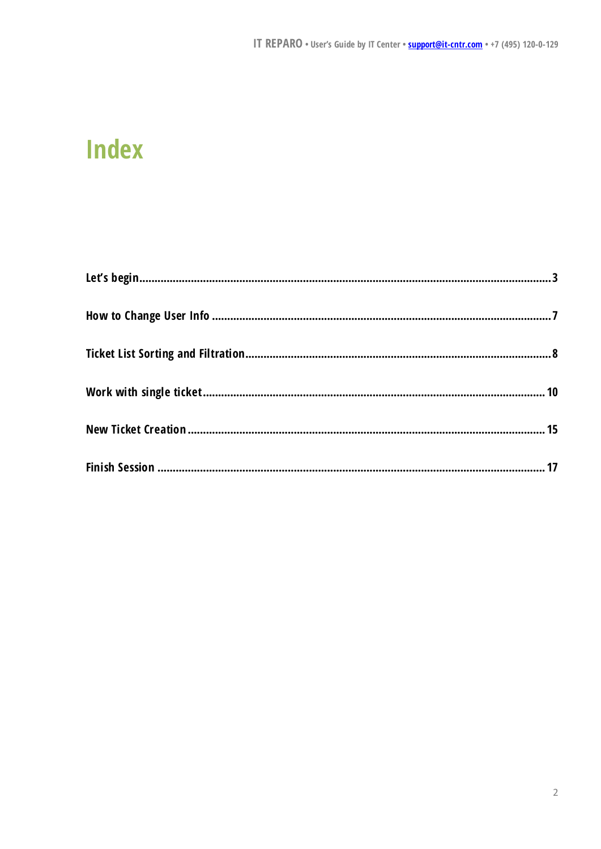#### **Index**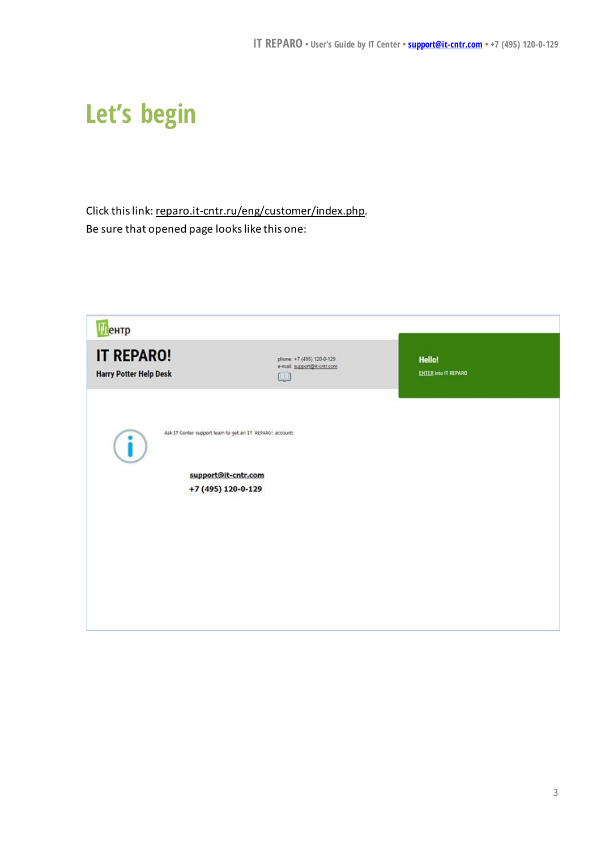## <span id="page-2-0"></span>**Let's begin**

Click this link: reparo.it-cntr.ru/eng/customer/index.php. Be sure that opened page looks like this one:

| <b>Пентр</b>                                       |                                                                                 |                                              |
|----------------------------------------------------|---------------------------------------------------------------------------------|----------------------------------------------|
| <b>IT REPARO!</b><br><b>Harry Potter Help Desk</b> | phone: +7 (495) 120-0-129<br>e-mail: support@it-ontr.com<br>$\cup$              | <b>Hello!</b><br><b>ENTER into IT REPARO</b> |
|                                                    | Ask IT Center support team to get an IT REPARO! account:<br>support@it-cntr.com |                                              |
|                                                    | +7 (495) 120-0-129                                                              |                                              |
|                                                    |                                                                                 |                                              |
|                                                    |                                                                                 |                                              |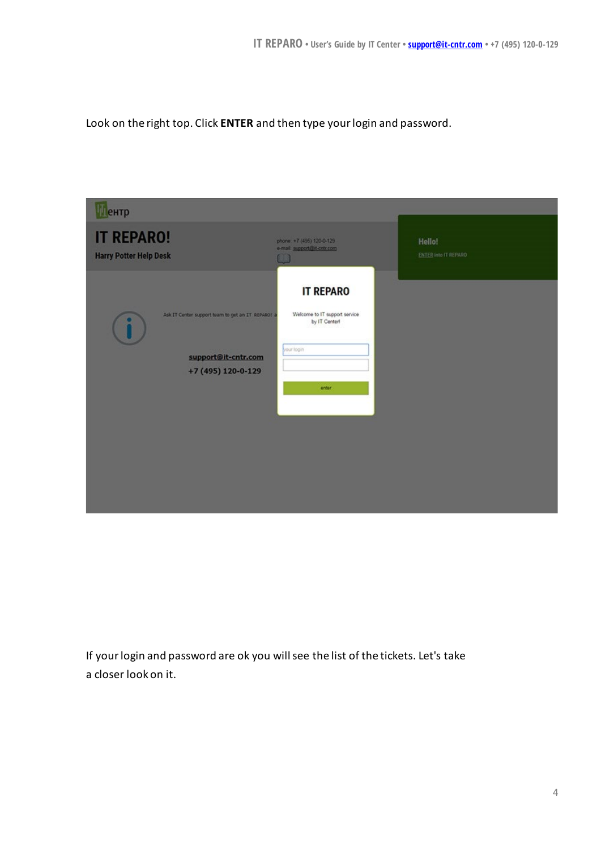Look on the right top. Click **ENTER** and then type your login and password.



If yourlogin and password are ok you will see the list of the tickets. Let's take a closer look on it.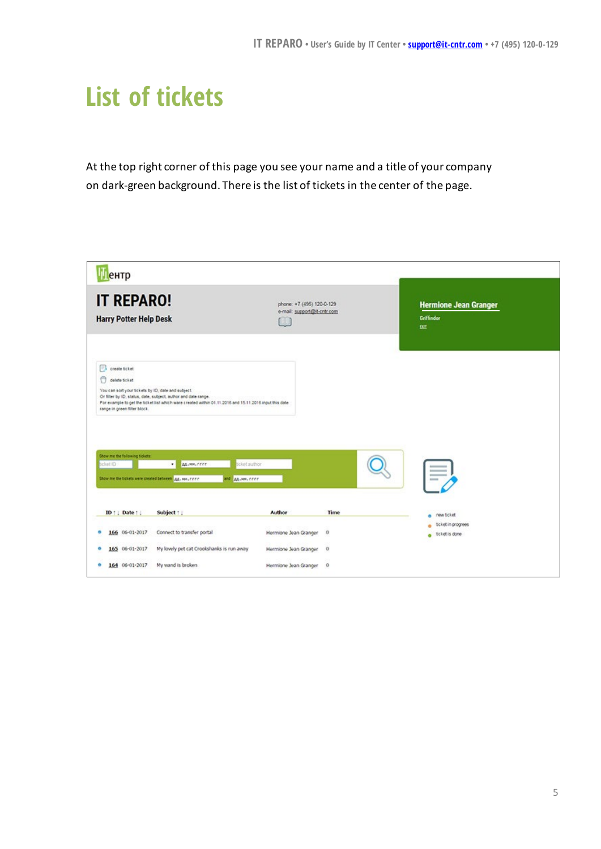## **List of tickets**

At the top right corner of this page you see your name and a title of your company on dark-green background. There is the list of tickets in the center of the page.

| Пентр                                                                                                                                                                    |                                                                                                                                                                                                                                                                                            |                                                               |              |                                                          |  |
|--------------------------------------------------------------------------------------------------------------------------------------------------------------------------|--------------------------------------------------------------------------------------------------------------------------------------------------------------------------------------------------------------------------------------------------------------------------------------------|---------------------------------------------------------------|--------------|----------------------------------------------------------|--|
| <b>IT REPARO!</b><br><b>Harry Potter Help Desk</b>                                                                                                                       |                                                                                                                                                                                                                                                                                            | phone: +7 (495) 120-0-129<br>e-mail: support@it-ontr.com<br>W |              | <b>Hermione Jean Granger</b><br>Griffindor<br><b>DIT</b> |  |
| create ticket<br>0<br>delete ticket<br>You can sort your tickets by ID, date and subject.<br>range in green filter block.<br>Show me the following tickets:<br>ticket ID | Or filter by ID, status, date, subject, author and date range.<br>For example to get the ticket list which ware created within 01.11.2016 and 15.11.2016 input this date<br>AA-MHLTTTT<br>scket author<br>٠<br>Show me the tickets were created between AA .vox, crici-<br>and AA.HH. cree |                                                               |              |                                                          |  |
| ID   Date                                                                                                                                                                | Subject :                                                                                                                                                                                                                                                                                  | Author                                                        | Time         | new ticket                                               |  |
| 166 06-01-2017                                                                                                                                                           | Connect to transfer portal                                                                                                                                                                                                                                                                 | Hermione Jean Granger                                         | $\theta$     | a tcket in progrees<br>e ticket is done                  |  |
| 165 06-01-2017                                                                                                                                                           | My lovely pet cat Crookshanks is run away                                                                                                                                                                                                                                                  | Hermione Jean Granger                                         | $\mathbf{0}$ |                                                          |  |
|                                                                                                                                                                          |                                                                                                                                                                                                                                                                                            |                                                               |              |                                                          |  |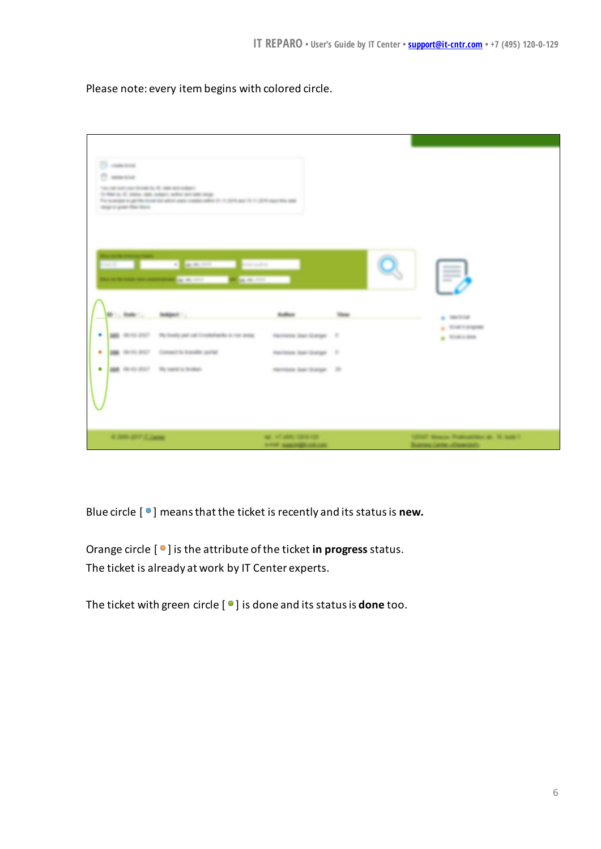Please note: every itembegins with colored circle.

| 23 concerna<br>C assurance<br>The copy and play to below to 10, 2000 and subject.<br>In Mar to 15, 2004, 2004, millet a shift and state only.<br>For ocalisate to get the tonal last ablot uses insides witho 31. In 2014 and 15. In 2014 input this sign.<br>sequence the mon-<br>a manual product<br><b>CONTRACTOR</b><br><b>CARDIO BARBARA</b> |                                        | <b>STATISTICS</b><br><b>COMMERCIAL</b><br><b>COLOR</b>                                                             |
|---------------------------------------------------------------------------------------------------------------------------------------------------------------------------------------------------------------------------------------------------------------------------------------------------------------------------------------------------|----------------------------------------|--------------------------------------------------------------------------------------------------------------------|
| <b>SHARAFFITE</b>                                                                                                                                                                                                                                                                                                                                 | <b>Building</b>                        | $\frac{1}{2} \leftarrow \frac{1}{2} \left( \frac{1}{2} \frac{1}{2} \right) \left( \frac{1}{2} \frac{1}{2} \right)$ |
| AND AN ADD STATE . We have by paid call three between the real and a<br>$\bullet$                                                                                                                                                                                                                                                                 | Harrison San Grange 17                 | a financiarama<br>$\triangle$ <b>ROWLER</b>                                                                        |
| <b>BM</b> 10-10-2027 Committee bandle portal<br>۰                                                                                                                                                                                                                                                                                                 | Harrisona Jaan Granger 17              |                                                                                                                    |
| <b>SER</b> 10-10 2017 Ry send is briken.<br>۰                                                                                                                                                                                                                                                                                                     | Harrison lear Grange 20                |                                                                                                                    |
| A 200-207 Canter                                                                                                                                                                                                                                                                                                                                  | ME AT ARR CRAIGE<br>some aggregatement | 12047 Moore, Profitability at . N. lodg 1.<br><b>Summy Center Allowands</b>                                        |

Blue circle [ $\bullet$ ] means that the ticket is recently and its status is **new**.

Orange circle  $[$  <sup>o</sup>  $]$  is the attribute of the ticket **in progress** status. The ticket is already at work by IT Center experts.

The ticket with green circle [ ] is done and its status is **done** too.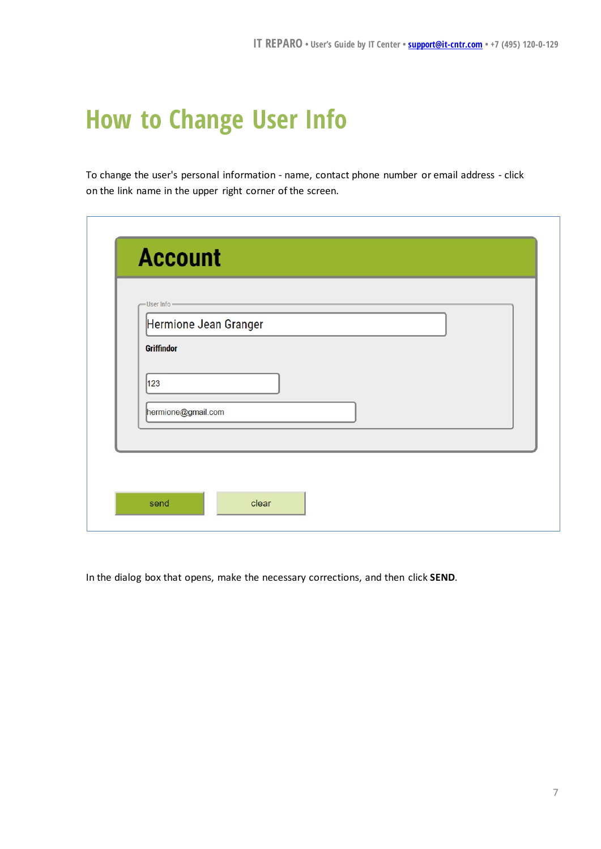#### <span id="page-6-0"></span>**How to Change User Info**

To change the user's personal information - name, contact phone number or email address - click on the link name in the upper right corner of the screen.

| -User Info-<br>Hermione Jean Granger |  |
|--------------------------------------|--|
| Griffindor                           |  |
| 123                                  |  |
| hermione@gmail.com                   |  |
|                                      |  |

In the dialog box that opens, make the necessary corrections, and then click **SEND**.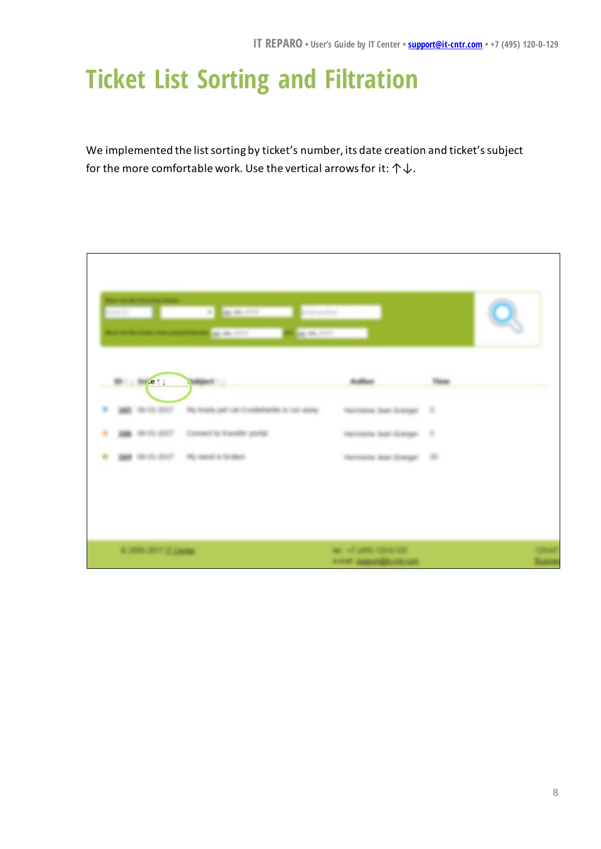## <span id="page-7-0"></span>**Ticket List Sorting and Filtration**

We implemented the list sorting by ticket's number, its date creation and ticket's subject for the more comfortable work. Use the vertical arrows for it:  $\uparrow \downarrow$ .

| $m = mc$ , e 1 | Voltages 8                                      | <b>Building</b>           | Things is |
|----------------|-------------------------------------------------|---------------------------|-----------|
|                | We lookly get call Crashellands is not deep     | Harrison Jun Grange 11    |           |
| ٠              | <b>JOB</b> 99-10-2017 Connect to hundre partial | Harrisona laut Granger 17 |           |
|                | <b>SEE</b> WHILE END - We seek a bridge         | mention last learned. 20  |           |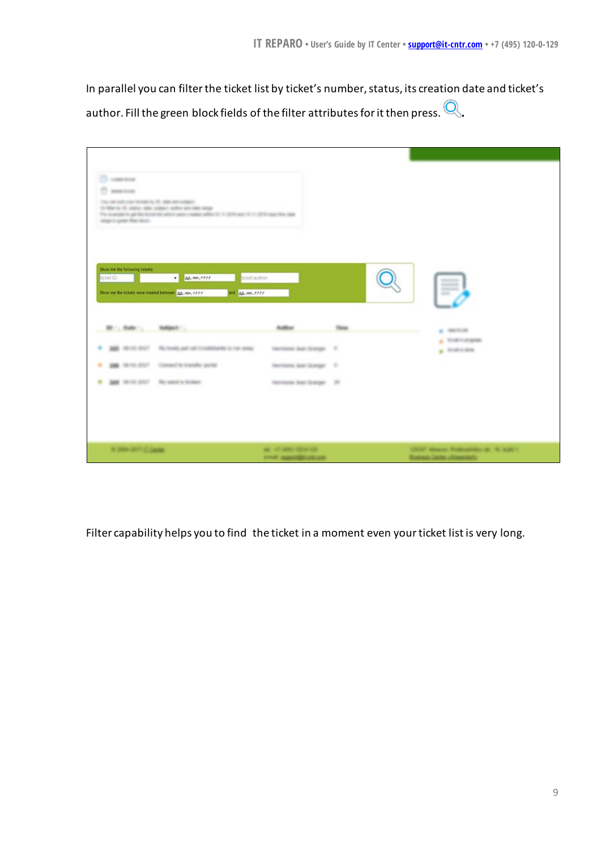In parallel you can filter the ticket list by ticket's number, status, its creation date and ticket's author. Fill the green block fields of the filter attributes for it then press.  $\bigotimes$ .

| <b>Chairman</b><br>C assurance<br>The contract contracts to the C. And net well and<br>In Mar is 10 years, sale science authorized state and<br>search great film than.<br>Show me the following tickets:<br>Scket ID<br>Show me the tickets were created between AA. MM. FFFF | For a series is yet by to her to be with appointed with the V. (200 app 10 1) 2010 months app.<br>AA-MA-FEEE<br>Scket author<br>and AA-HH. FFFF |                                                  | <b>GEORGIA</b>                                                      |
|--------------------------------------------------------------------------------------------------------------------------------------------------------------------------------------------------------------------------------------------------------------------------------|-------------------------------------------------------------------------------------------------------------------------------------------------|--------------------------------------------------|---------------------------------------------------------------------|
| Br .; Sular .; Nellact .;                                                                                                                                                                                                                                                      |                                                                                                                                                 | <b>Author</b>                                    | $\sim$ meteor                                                       |
|                                                                                                                                                                                                                                                                                | AND THE REAL PROPERTY AND RELEASED AND CONSIDERED AS THE ARRAY                                                                                  | Harrison Son Grange 17                           | $\mathbf{z}$ . Single-proposed<br>$\mathbf{z}$ . Single states:     |
| <b>200</b> William of Farmers' St. Top of the AM<br>٠                                                                                                                                                                                                                          |                                                                                                                                                 | Narrows last Grange 17.                          |                                                                     |
| <b>SEE</b> (\$1-13 STC?) Ric speed to feedback                                                                                                                                                                                                                                 |                                                                                                                                                 | Harveyee State Grange 20                         |                                                                     |
| a passion claim.                                                                                                                                                                                                                                                               |                                                                                                                                                 | ME, AT WAS SIDE UP.<br><b>ATTN: AMMINGSURING</b> | 12047 Moscos Profit-diffuse at 10 built 1.<br><b>AN CARRY AT AN</b> |

Filter capability helps you to find the ticket in a moment even your ticket list is very long.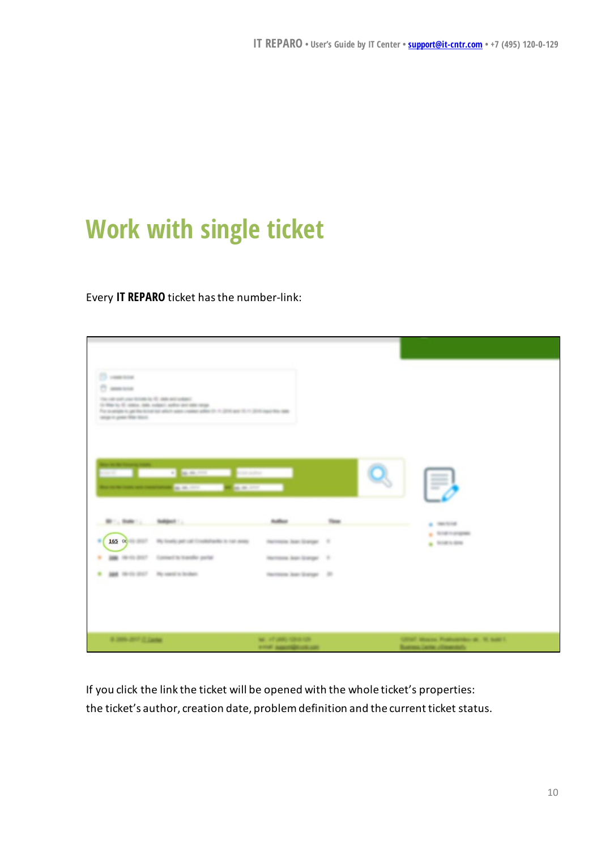## <span id="page-9-0"></span>**Work with single ticket**

#### Every **IT REPARO** ticket has the number-link:

| [3 years and<br>C assessed<br>The cale with your fictuate by 10, state and subject.<br>In this to 10 states rate, values and/or and state range.<br>For a ceram is get the local last about sea coulder artist (ii). A 2016 and 15. In 2016 explicities date<br>step is put the test.<br><b>SEE OF BUILDING SECTIONS INCOME.</b><br><b>NUMBER OF STREET AND STREET AND INCOME.</b> |                                                                                                    |                                                                                                                                                                                                                                                     | $=$<br><b>SHOW:</b>                                                       |
|------------------------------------------------------------------------------------------------------------------------------------------------------------------------------------------------------------------------------------------------------------------------------------------------------------------------------------------------------------------------------------|----------------------------------------------------------------------------------------------------|-----------------------------------------------------------------------------------------------------------------------------------------------------------------------------------------------------------------------------------------------------|---------------------------------------------------------------------------|
| <b>B</b> . Sale Malgott<br>165 O HI 2017 The finally pair call Conditionity to remain<br>۰<br>AND FREEDOM CONTRACTOR STANDARD partial<br>٠<br><b>JAN 10-11-2117</b> . He send in broken                                                                                                                                                                                            | <b>Author</b><br>Harrisona Juan Granger . 17<br>National Auto Grange 17<br>Harrison Juan Grange 20 | <b>Time</b><br><b>The contract of the contract of the contract of the contract of the contract of the contract of the contract of the contract of the contract of the contract of the contract of the contract of the contract of the contract </b> | 1.395333<br>$\pm$ 100 m program<br>$\blacktriangle$ transmiss             |
| a post-and duties                                                                                                                                                                                                                                                                                                                                                                  | Mr. of sells cannot<br><b>A FOR AMERICAN CAR</b>                                                   |                                                                                                                                                                                                                                                     | USE Many Procession & R. Lat. L.<br><b>Business Center of Insertial's</b> |

If you click the link the ticket will be opened with the whole ticket's properties: the ticket's author, creation date, problem definition and the current ticket status.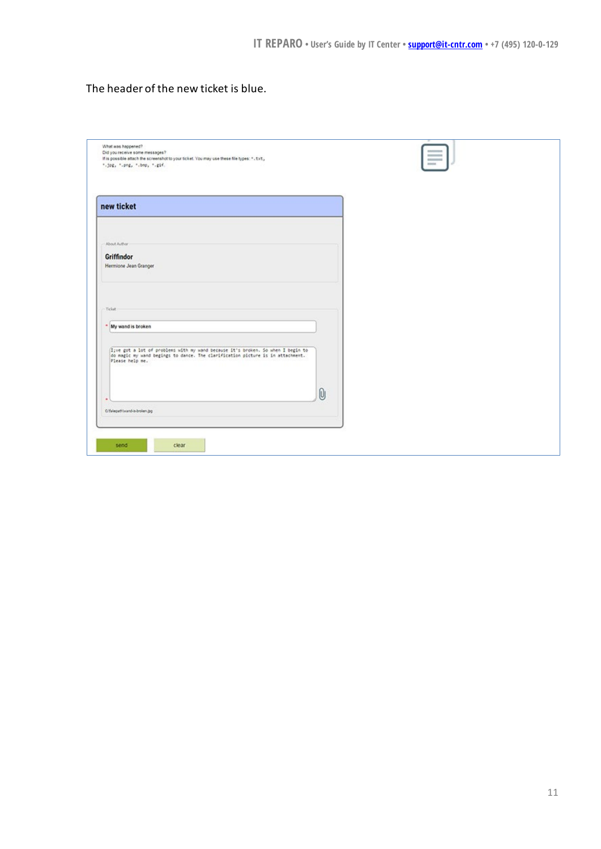The header of the new ticket is blue.

| What was happened?<br>Did you receive some messages?<br>If is possible attach the screenshot to your ticket. You may use these file types: ". txt,<br>".jpg, ".png, ".bnp, ".gif.     | $rac{1}{2}$ |  |
|---------------------------------------------------------------------------------------------------------------------------------------------------------------------------------------|-------------|--|
| new ticket                                                                                                                                                                            |             |  |
| About Author:<br>Griffindor<br>Hermione Jean Granger                                                                                                                                  |             |  |
| Ticket<br>* My wand is broken                                                                                                                                                         |             |  |
| (I;ve got a lot of problems with my wand because it's broken. So when I begin to<br>do magic my wand begings to dance. The clarification picture is in attachment.<br>Please help me. |             |  |
| O'falagathlwand-is-broken.jpg                                                                                                                                                         | $\omega$    |  |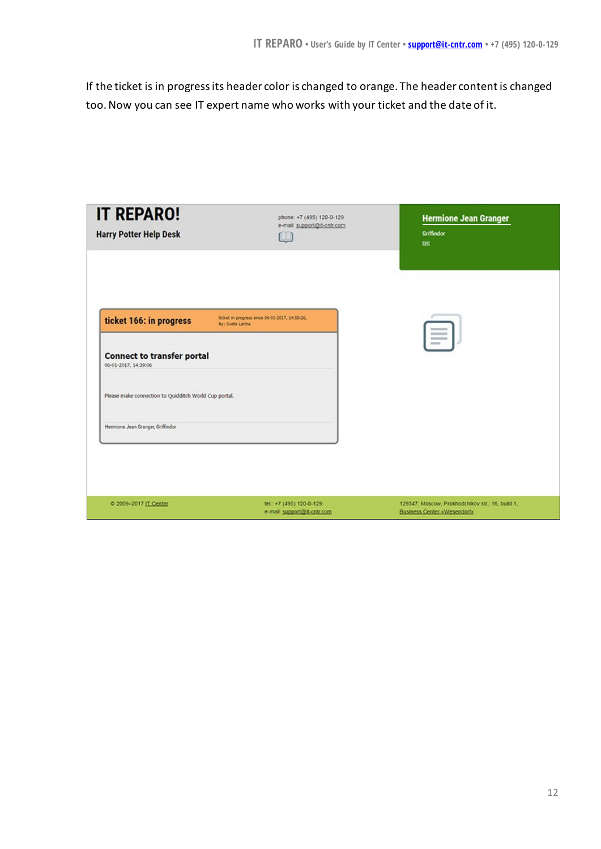If the ticket is in progress its header color is changed to orange. The header content is changed too.Now you can see IT expert name who works with your ticket and the date of it.

| <b>IT REPARO!</b><br><b>Harry Potter Help Desk</b>                                                       | phone: +7 (495) 120-0-129<br>e-mail: support@it-cntr.com<br>(U) | <b>Hermione Jean Granger</b><br>Griffindor<br>EXT                                      |
|----------------------------------------------------------------------------------------------------------|-----------------------------------------------------------------|----------------------------------------------------------------------------------------|
| ticket 166: in progress<br>by: Sveta Larina<br><b>Connect to transfer portal</b><br>06-01-2017, 14:39:06 | ticket in progress since 06-01-2017, 14:58:26,                  | $\sim$                                                                                 |
| Please make connection to Quidditch World Cup portal.                                                    |                                                                 |                                                                                        |
| Hermione Jean Granger, Griffindor                                                                        |                                                                 |                                                                                        |
|                                                                                                          |                                                                 |                                                                                        |
| 2009-2017 IT Center                                                                                      | tel.: +7 (495) 120-0-129<br>e-mail: support@it-cntr.com         | 129347; Moscow, Prokhodchikov str., 16, build 1,<br><b>Business Center «Wesendorf»</b> |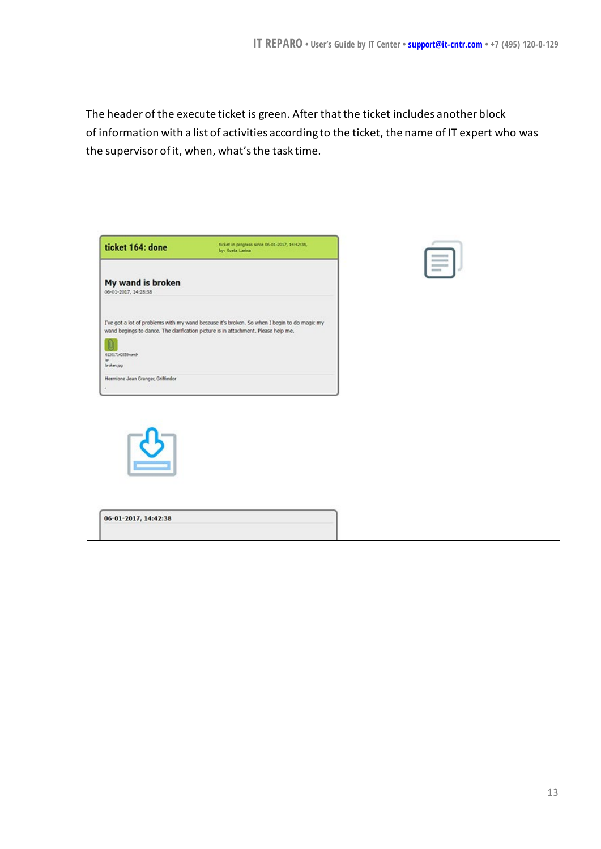The header of the execute ticket is green. After that the ticket includes another block of information with a list of activities according to the ticket, the name of IT expert who was the supervisor of it, when, what's the task time.

| I've got a lot of problems with my wand because it's broken. So when I begin to do magic my<br>wand begings to dance. The clarification picture is in attachment. Please help me.<br>broken.jpg | ticket 164: done                          | ticket in progress since 06-01-2017, 14:42:38,<br>by: Sveta Larina | $\equiv$ |
|-------------------------------------------------------------------------------------------------------------------------------------------------------------------------------------------------|-------------------------------------------|--------------------------------------------------------------------|----------|
|                                                                                                                                                                                                 | My wand is broken<br>06-01-2017, 14:28:38 |                                                                    |          |
|                                                                                                                                                                                                 | 612017142638wand-                         |                                                                    |          |
|                                                                                                                                                                                                 | Hermione Jean Granger, Griffindor         |                                                                    |          |
|                                                                                                                                                                                                 |                                           |                                                                    |          |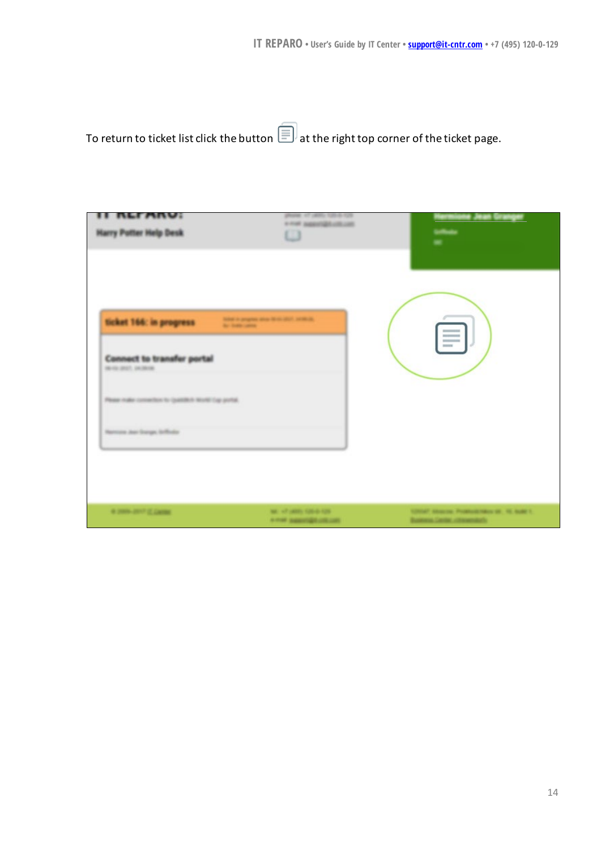To return to ticket list click the button  $\widehat{\mathbb{E}}$  at the right top corner of the ticket page.

| Single a program also be detailed primary<br>Art Sales Labour | F |
|---------------------------------------------------------------|---|
|                                                               |   |
|                                                               |   |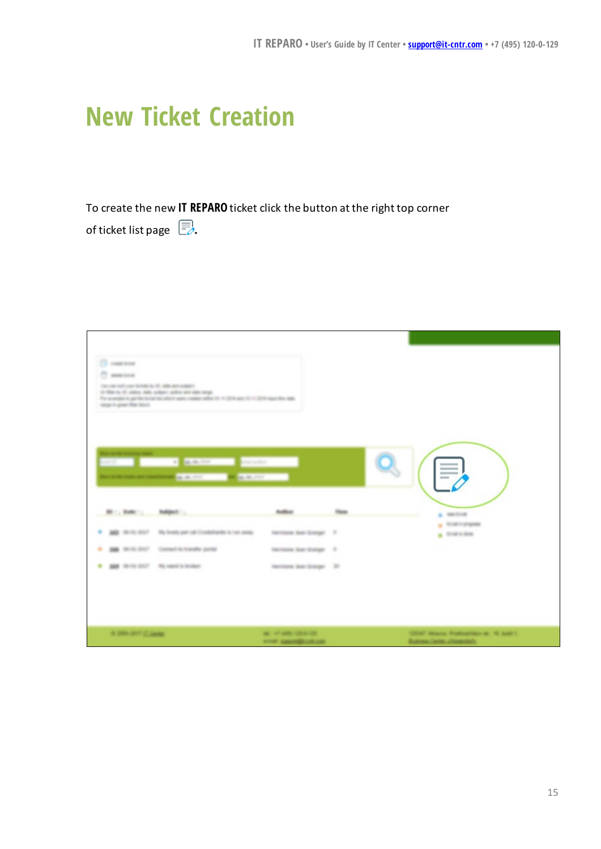#### <span id="page-14-0"></span>**New Ticket Creation**

To create the new **IT REPARO** ticket click the button at the right top corner

of ticket list page  $\Box$ .

| In War to 10, status, sale, subsets and/or will date neigh-<br>For a singlet to get the terminal able frame coalder added to it. (2010 and 15 × 2010 mps) this class<br>structure great than touch.<br><b>DESCRIPTION OF PROPERTY</b><br><b>STATE OF DESCRIPTION OF ALL AND ADDRESS</b><br><b>Contract Contract Contract</b> |                            |               | -                        |
|------------------------------------------------------------------------------------------------------------------------------------------------------------------------------------------------------------------------------------------------------------------------------------------------------------------------------|----------------------------|---------------|--------------------------|
|                                                                                                                                                                                                                                                                                                                              | <b>Notified</b>            | <b>Things</b> | $\mathbf{a}$ . Herebrook |
| B. 101 101 2017  We hook put of Credible for the page                                                                                                                                                                                                                                                                        | Harrisona Jaan Granger 17. |               | a foreigner<br>1.144133  |
| \$10.00 about 5 Connect to Insert for partial<br>۰                                                                                                                                                                                                                                                                           | merces law trange 1        |               |                          |
| <b>SEA</b> (With 2017) His sport is broken                                                                                                                                                                                                                                                                                   | Harrisona State Granger 20 |               |                          |
|                                                                                                                                                                                                                                                                                                                              |                            |               |                          |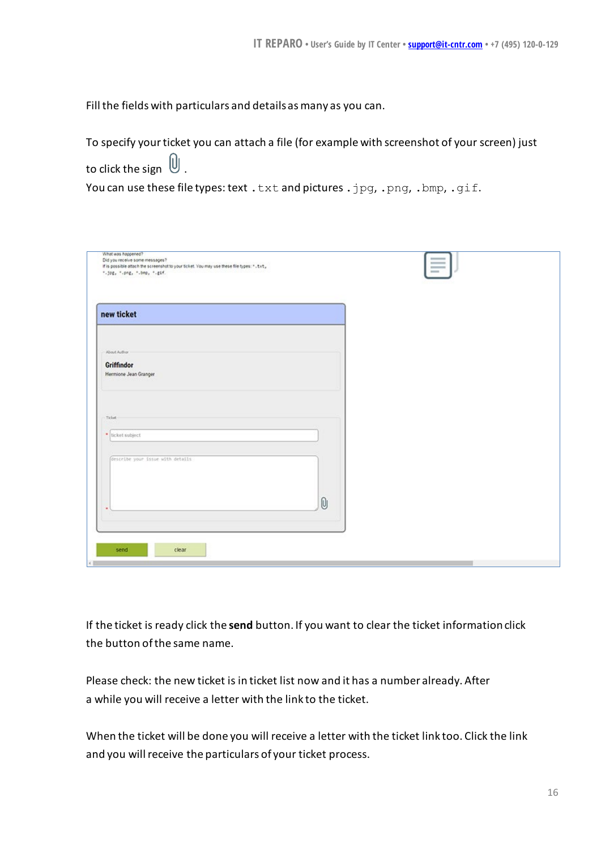Fill the fields with particulars and details as many as you can.

To specify your ticket you can attach a file (for example with screenshot of your screen) just to click the sign  $\bigcup$ . You can use these file types: text . txt and pictures . jpg, . png, . bmp, . gif.

| What was happened?<br>Did you receive some messages?<br>If is possible attach the screenshot to your ticket. You may use these file types: ". txt,<br>".jog, ".png, ".bmp, ".gif. |          | $=$ |  |
|-----------------------------------------------------------------------------------------------------------------------------------------------------------------------------------|----------|-----|--|
| new ticket                                                                                                                                                                        |          |     |  |
|                                                                                                                                                                                   |          |     |  |
| About Author                                                                                                                                                                      |          |     |  |
| Griffindor                                                                                                                                                                        |          |     |  |
| Hermione Jean Granger                                                                                                                                                             |          |     |  |
|                                                                                                                                                                                   |          |     |  |
|                                                                                                                                                                                   |          |     |  |
| Ticket                                                                                                                                                                            |          |     |  |
|                                                                                                                                                                                   |          |     |  |
| * ticket subject                                                                                                                                                                  |          |     |  |
|                                                                                                                                                                                   |          |     |  |
| Gescribe your issue with details                                                                                                                                                  |          |     |  |
|                                                                                                                                                                                   |          |     |  |
|                                                                                                                                                                                   |          |     |  |
|                                                                                                                                                                                   | $\theta$ |     |  |
|                                                                                                                                                                                   |          |     |  |
|                                                                                                                                                                                   |          |     |  |
|                                                                                                                                                                                   |          |     |  |

If the ticket is ready click the **send** button. If you want to clear the ticket informationclick the button of the same name.

Please check: the new ticket is in ticket list now and it has a number already. After a while you will receive a letter with the link to the ticket.

When the ticket will be done you will receive a letter with the ticket link too. Click the link and you will receive the particulars of your ticket process.